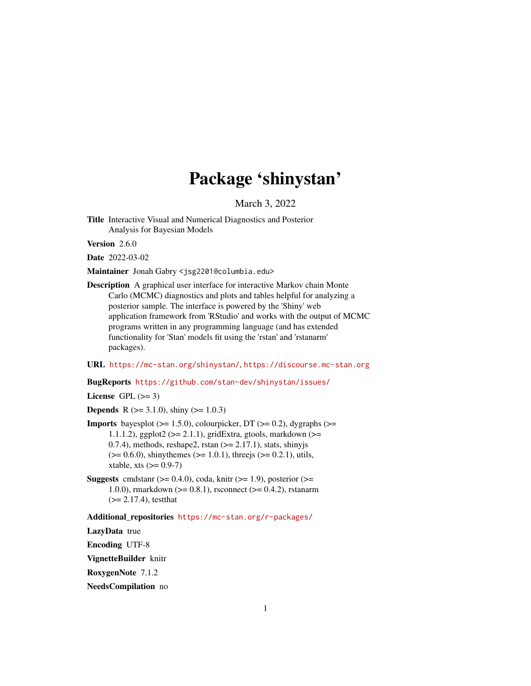# Package 'shinystan'

March 3, 2022

<span id="page-0-0"></span>Title Interactive Visual and Numerical Diagnostics and Posterior Analysis for Bayesian Models

Version 2.6.0

Date 2022-03-02

Maintainer Jonah Gabry <jsg2201@columbia.edu>

Description A graphical user interface for interactive Markov chain Monte Carlo (MCMC) diagnostics and plots and tables helpful for analyzing a posterior sample. The interface is powered by the 'Shiny' web application framework from 'RStudio' and works with the output of MCMC programs written in any programming language (and has extended functionality for 'Stan' models fit using the 'rstan' and 'rstanarm' packages).

URL <https://mc-stan.org/shinystan/>, <https://discourse.mc-stan.org>

BugReports <https://github.com/stan-dev/shinystan/issues/>

License GPL  $(>= 3)$ 

**Depends** R ( $>= 3.1.0$ ), shiny ( $>= 1.0.3$ )

- **Imports** bayesplot ( $> = 1.5.0$ ), colourpicker, DT ( $> = 0.2$ ), dygraphs ( $> =$ 1.1.1.2), ggplot2 ( $>= 2.1.1$ ), gridExtra, gtools, markdown ( $>=$ 0.7.4), methods, reshape2, rstan  $(>= 2.17.1)$ , stats, shinyjs  $(>= 0.6.0)$ , shinythemes  $(>= 1.0.1)$ , threejs  $(>= 0.2.1)$ , utils, xtable, xts  $(>= 0.9-7)$
- **Suggests** cmdstanr  $(>= 0.4.0)$ , coda, knitr  $(>= 1.9)$ , posterior  $(>=$ 1.0.0), rmarkdown ( $> = 0.8.1$ ), rsconnect ( $> = 0.4.2$ ), rstanarm (>= 2.17.4), testthat

Additional\_repositories <https://mc-stan.org/r-packages/>

LazyData true

Encoding UTF-8

VignetteBuilder knitr

RoxygenNote 7.1.2

NeedsCompilation no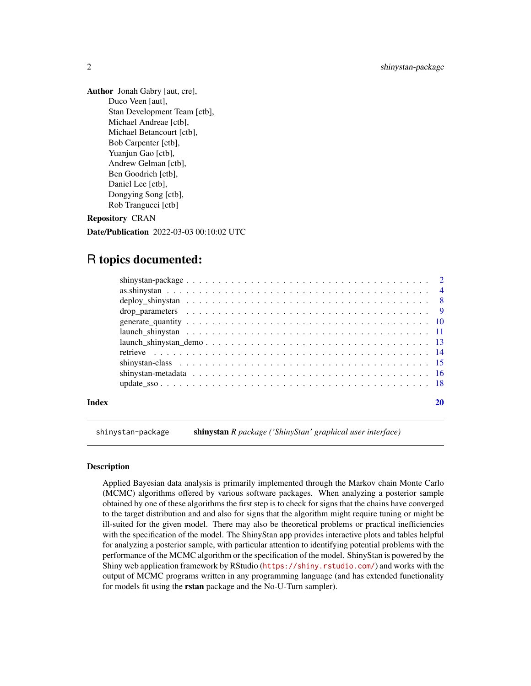<span id="page-1-0"></span>Author Jonah Gabry [aut, cre], Duco Veen [aut], Stan Development Team [ctb], Michael Andreae [ctb], Michael Betancourt [ctb], Bob Carpenter [ctb], Yuanjun Gao [ctb], Andrew Gelman [ctb], Ben Goodrich [ctb], Daniel Lee [ctb], Dongying Song [ctb], Rob Trangucci [ctb]

Repository CRAN

Date/Publication 2022-03-03 00:10:02 UTC

# R topics documented:

| Index |  |
|-------|--|

shinystan-package shinystan *R package ('ShinyStan' graphical user interface)*

# **Description**

Applied Bayesian data analysis is primarily implemented through the Markov chain Monte Carlo (MCMC) algorithms offered by various software packages. When analyzing a posterior sample obtained by one of these algorithms the first step is to check for signs that the chains have converged to the target distribution and and also for signs that the algorithm might require tuning or might be ill-suited for the given model. There may also be theoretical problems or practical inefficiencies with the specification of the model. The ShinyStan app provides interactive plots and tables helpful for analyzing a posterior sample, with particular attention to identifying potential problems with the performance of the MCMC algorithm or the specification of the model. ShinyStan is powered by the Shiny web application framework by RStudio (<https://shiny.rstudio.com/>) and works with the output of MCMC programs written in any programming language (and has extended functionality for models fit using the **rstan** package and the No-U-Turn sampler).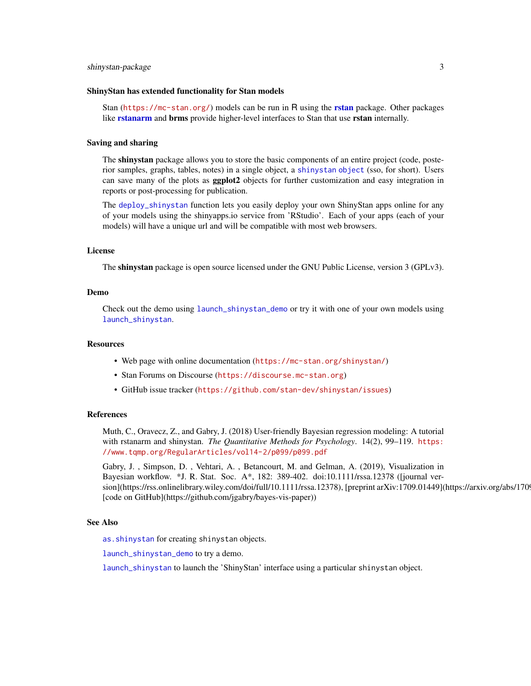#### <span id="page-2-0"></span>ShinyStan has extended functionality for Stan models

Stan (<https://mc-stan.org/>) models can be run in R using the [rstan](#page-0-0) package. Other packages like **[rstanarm](#page-0-0)** and brms provide higher-level interfaces to Stan that use rstan internally.

#### Saving and sharing

The **shinystan** package allows you to store the basic components of an entire project (code, posterior samples, graphs, tables, notes) in a single object, a [shinystan object](#page-3-1) (sso, for short). Users can save many of the plots as **ggplot2** objects for further customization and easy integration in reports or post-processing for publication.

The [deploy\\_shinystan](#page-7-1) function lets you easily deploy your own ShinyStan apps online for any of your models using the shinyapps.io service from 'RStudio'. Each of your apps (each of your models) will have a unique url and will be compatible with most web browsers.

#### License

The shinystan package is open source licensed under the GNU Public License, version 3 (GPLv3).

#### Demo

Check out the demo using [launch\\_shinystan\\_demo](#page-12-1) or try it with one of your own models using [launch\\_shinystan](#page-10-1).

#### **Resources**

- Web page with online documentation (<https://mc-stan.org/shinystan/>)
- Stan Forums on Discourse (<https://discourse.mc-stan.org>)
- GitHub issue tracker (<https://github.com/stan-dev/shinystan/issues>)

#### References

Muth, C., Oravecz, Z., and Gabry, J. (2018) User-friendly Bayesian regression modeling: A tutorial with rstanarm and shinystan. *The Quantitative Methods for Psychology*. 14(2), 99–119. [https:](https://www.tqmp.org/RegularArticles/vol14-2/p099/p099.pdf) [//www.tqmp.org/RegularArticles/vol14-2/p099/p099.pdf](https://www.tqmp.org/RegularArticles/vol14-2/p099/p099.pdf)

Gabry, J. , Simpson, D. , Vehtari, A. , Betancourt, M. and Gelman, A. (2019), Visualization in Bayesian workflow. \*J. R. Stat. Soc. A\*, 182: 389-402. doi:10.1111/rssa.12378 ([journal version](https://rss.onlinelibrary.wiley.com/doi/full/10.1111/rssa.12378), [preprint arXiv:1709.01449](https://arxiv.org/abs/170 [code on GitHub](https://github.com/jgabry/bayes-vis-paper))

#### See Also

[as.shinystan](#page-3-1) for creating shinystan objects.

[launch\\_shinystan\\_demo](#page-12-1) to try a demo.

[launch\\_shinystan](#page-10-1) to launch the 'ShinyStan' interface using a particular shinystan object.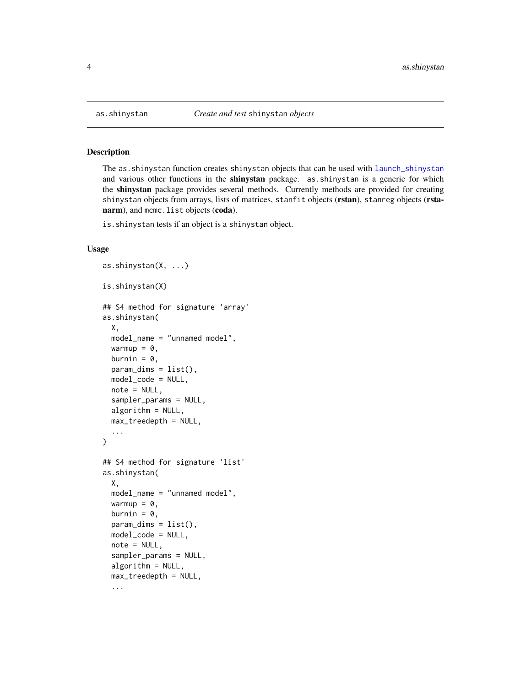# Description

The as.shinystan function creates shinystan objects that can be used with [launch\\_shinystan](#page-10-1) and various other functions in the shinystan package. as shinystan is a generic for which the shinystan package provides several methods. Currently methods are provided for creating shinystan objects from arrays, lists of matrices, stanfit objects (rstan), stanreg objects (rstanarm), and mcmc. list objects (coda).

is.shinystan tests if an object is a shinystan object.

#### Usage

```
as.shinystan(X, ...)
is.shinystan(X)
## S4 method for signature 'array'
as.shinystan(
 X,
 model_name = "unnamed model",
 warmup = \theta,
 burnin = 0,
 param\_dims = list(),
 model_code = NULL,
 note = NULL,
  sampler_params = NULL,
  algorithm = NULL,
 max_treedepth = NULL,
  ...
)
## S4 method for signature 'list'
as.shinystan(
 X,
 model_name = "unnamed model",
 warmup = \theta,
 burnin = 0,
 param_dims = list(),
 model_code = NULL,
 note = NULL,
  sampler_params = NULL,
  algorithm = NULL,
  max_treedepth = NULL,
  ...
```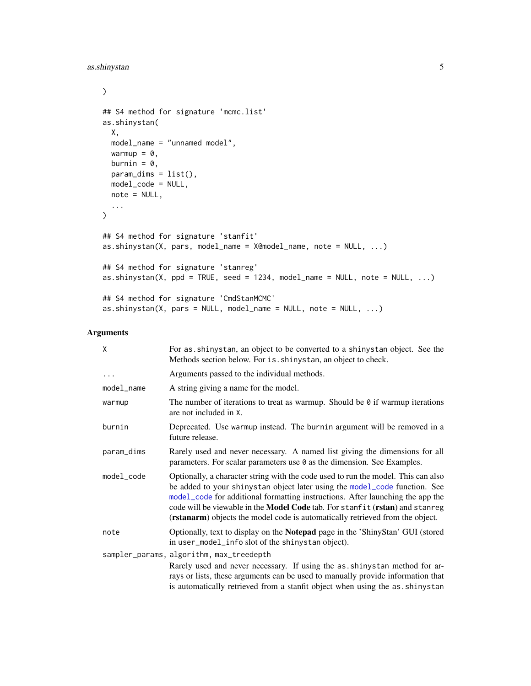# <span id="page-4-0"></span>as.shinystan 5

```
\mathcal{L}## S4 method for signature 'mcmc.list'
as.shinystan(
 X,
 model_name = "unnamed model",
 warmup = \theta,
 burnin = 0,
 param_dims = list(),
 model_code = NULL,
 note = NULL,
  ...
)
## S4 method for signature 'stanfit'
as.shinystan(X, pars, model_name = X@model_name, note = NULL, ...)
## S4 method for signature 'stanreg'
as.shinystan(X, ppd = TRUE, seed = 1234, model_name = NULL, note = NULL, \dots)
## S4 method for signature 'CmdStanMCMC'
as.shinystan(X, pars = NULL, model_name = NULL, note = NULL, \ldots)
```
#### Arguments

| χ          | For as shinystan, an object to be converted to a shinystan object. See the<br>Methods section below. For is shinystan, an object to check.                                                                                                                                                                                                                                                                         |
|------------|--------------------------------------------------------------------------------------------------------------------------------------------------------------------------------------------------------------------------------------------------------------------------------------------------------------------------------------------------------------------------------------------------------------------|
| $\ddots$   | Arguments passed to the individual methods.                                                                                                                                                                                                                                                                                                                                                                        |
| model_name | A string giving a name for the model.                                                                                                                                                                                                                                                                                                                                                                              |
| warmup     | The number of iterations to treat as warmup. Should be $\theta$ if warmup iterations<br>are not included in X.                                                                                                                                                                                                                                                                                                     |
| burnin     | Deprecated. Use warmup instead. The burnin argument will be removed in a<br>future release.                                                                                                                                                                                                                                                                                                                        |
| param_dims | Rarely used and never necessary. A named list giving the dimensions for all<br>parameters. For scalar parameters use 0 as the dimension. See Examples.                                                                                                                                                                                                                                                             |
| model_code | Optionally, a character string with the code used to run the model. This can also<br>be added to your shinystan object later using the model_code function. See<br>model_code for additional formatting instructions. After launching the app the<br>code will be viewable in the Model Code tab. For stanfit (rstan) and stanreg<br>(rstanarm) objects the model code is automatically retrieved from the object. |
| note       | Optionally, text to display on the <b>Notepad</b> page in the 'ShinyStan' GUI (stored<br>in user_model_info slot of the shinystan object).                                                                                                                                                                                                                                                                         |
|            | sampler_params, algorithm, max_treedepth<br>Rarely used and never necessary. If using the as shinystan method for ar-<br>rays or lists, these arguments can be used to manually provide information that<br>is automatically retrieved from a stanfit object when using the as . shinystan                                                                                                                         |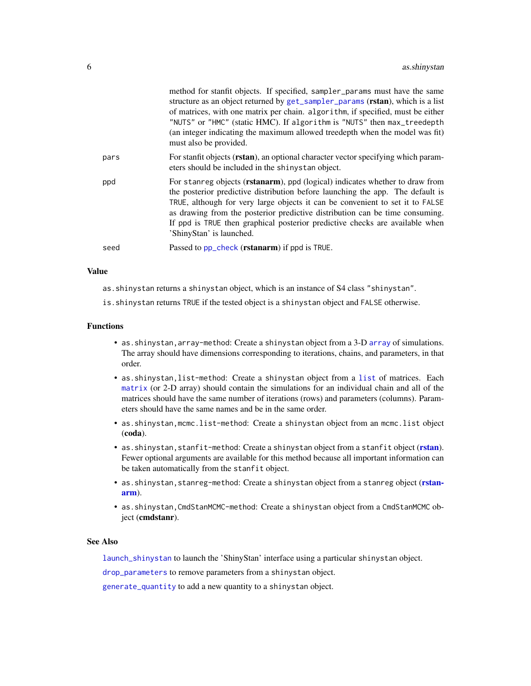<span id="page-5-0"></span>

|      | method for stanfit objects. If specified, sampler_params must have the same<br>structure as an object returned by get_sampler_params (rstan), which is a list<br>of matrices, with one matrix per chain. algorithm, if specified, must be either<br>"NUTS" or "HMC" (static HMC). If algorithm is "NUTS" then max_treedepth<br>(an integer indicating the maximum allowed treedepth when the model was fit)<br>must also be provided.                |
|------|------------------------------------------------------------------------------------------------------------------------------------------------------------------------------------------------------------------------------------------------------------------------------------------------------------------------------------------------------------------------------------------------------------------------------------------------------|
| pars | For stanfit objects (rstan), an optional character vector specifying which param-<br>eters should be included in the shinystan object.                                                                                                                                                                                                                                                                                                               |
| ppd  | For stanreg objects ( <b>rstanarm</b> ), ppd (logical) indicates whether to draw from<br>the posterior predictive distribution before launching the app. The default is<br>TRUE, although for very large objects it can be convenient to set it to FALSE<br>as drawing from the posterior predictive distribution can be time consuming.<br>If ppd is TRUE then graphical posterior predictive checks are available when<br>'ShinyStan' is launched. |
| seed | Passed to pp_check ( <b>rstanarm</b> ) if ppd is TRUE.                                                                                                                                                                                                                                                                                                                                                                                               |

### Value

as.shinystan returns a shinystan object, which is an instance of S4 class "shinystan".

is.shinystan returns TRUE if the tested object is a shinystan object and FALSE otherwise.

#### Functions

- as.shinystan,array-method: Create a shinystan object from a 3-D [array](#page-0-0) of simulations. The array should have dimensions corresponding to iterations, chains, and parameters, in that order.
- as.shinystan, [list](#page-0-0)-method: Create a shinystan object from a list of matrices. Each [matrix](#page-0-0) (or 2-D array) should contain the simulations for an individual chain and all of the matrices should have the same number of iterations (rows) and parameters (columns). Parameters should have the same names and be in the same order.
- as.shinystan,mcmc.list-method: Create a shinystan object from an mcmc.list object (coda).
- as.shinystan, stanfit-method: Create a shinystan object from a stanfit object ([rstan](#page-0-0)). Fewer optional arguments are available for this method because all important information can be taken automatically from the stanfit object.
- as. shinystan, stanreg-method: Create a shinystan object from a stanreg object ([rstan](#page-0-0)[arm](#page-0-0)).
- as.shinystan,CmdStanMCMC-method: Create a shinystan object from a CmdStanMCMC object (cmdstanr).

#### See Also

[launch\\_shinystan](#page-10-1) to launch the 'ShinyStan' interface using a particular shinystan object.

[drop\\_parameters](#page-8-1) to remove parameters from a shinystan object.

[generate\\_quantity](#page-9-1) to add a new quantity to a shinystan object.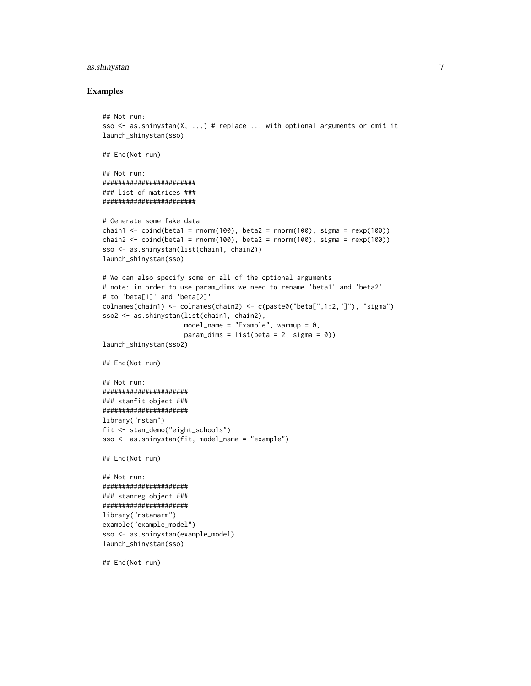# as.shinystan 7

#### Examples

```
## Not run:
sso <- as.shinystan(X, ...) # replace ... with optional arguments or omit it
launch_shinystan(sso)
## End(Not run)
## Not run:
########################
### list of matrices ###
########################
# Generate some fake data
chain1 <- cbind(beta1 = rnorm(100), beta2 = rnorm(100), sigma = resp(100))
chain2 \le cbind(beta1 = rnorm(100), beta2 = rnorm(100), sigma = rexp(100))
sso <- as.shinystan(list(chain1, chain2))
launch_shinystan(sso)
# We can also specify some or all of the optional arguments
# note: in order to use param_dims we need to rename 'beta1' and 'beta2'
# to 'beta[1]' and 'beta[2]'
colnames(chain1) <- colnames(chain2) <- c(paste0("beta[",1:2,"]"), "sigma")
sso2 <- as.shinystan(list(chain1, chain2),
                     model_name = "Example", warmup = 0,param\_dims = list(beta = 2, sigma = 0)launch_shinystan(sso2)
## End(Not run)
## Not run:
######################
### stanfit object ###
######################
library("rstan")
fit <- stan_demo("eight_schools")
sso <- as.shinystan(fit, model_name = "example")
## End(Not run)
## Not run:
######################
### stanreg object ###
######################
library("rstanarm")
example("example_model")
sso <- as.shinystan(example_model)
launch_shinystan(sso)
## End(Not run)
```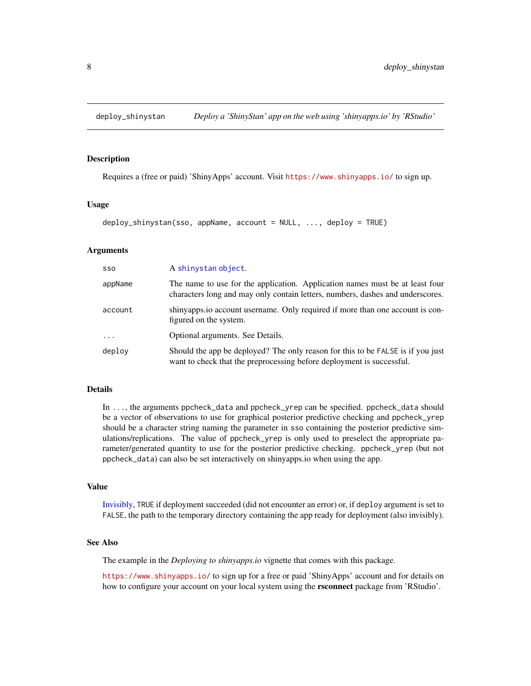<span id="page-7-1"></span><span id="page-7-0"></span>

#### **Description**

Requires a (free or paid) 'ShinyApps' account. Visit <https://www.shinyapps.io/> to sign up.

# Usage

```
deploy_shinystan(sso, appName, account = NULL, ..., deploy = TRUE)
```
#### Arguments

| <b>SSO</b> | A shinystan object.                                                                                                                                            |
|------------|----------------------------------------------------------------------------------------------------------------------------------------------------------------|
| appName    | The name to use for the application. Application names must be at least four<br>characters long and may only contain letters, numbers, dashes and underscores. |
| account    | shinyapps.io account username. Only required if more than one account is con-<br>figured on the system.                                                        |
| $\ddots$   | Optional arguments. See Details.                                                                                                                               |
| deploy     | Should the app be deployed? The only reason for this to be FALSE is if you just<br>want to check that the preprocessing before deployment is successful.       |

# Details

In ..., the arguments ppcheck\_data and ppcheck\_yrep can be specified. ppcheck\_data should be a vector of observations to use for graphical posterior predictive checking and ppcheck\_yrep should be a character string naming the parameter in sso containing the posterior predictive simulations/replications. The value of ppcheck\_yrep is only used to preselect the appropriate parameter/generated quantity to use for the posterior predictive checking. ppcheck\_yrep (but not ppcheck\_data) can also be set interactively on shinyapps.io when using the app.

#### Value

[Invisibly,](#page-0-0) TRUE if deployment succeeded (did not encounter an error) or, if deploy argument is set to FALSE, the path to the temporary directory containing the app ready for deployment (also invisibly).

# See Also

The example in the *Deploying to shinyapps.io* vignette that comes with this package.

<https://www.shinyapps.io/> to sign up for a free or paid 'ShinyApps' account and for details on how to configure your account on your local system using the **rsconnect** package from 'RStudio'.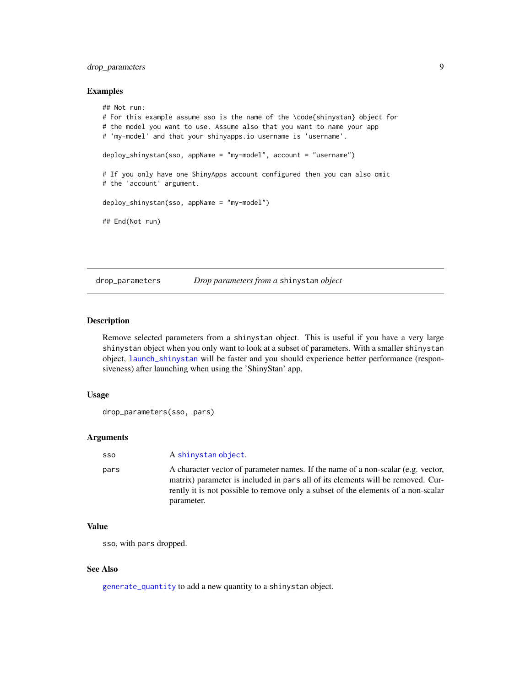# <span id="page-8-0"></span>drop\_parameters 9

#### Examples

```
## Not run:
# For this example assume sso is the name of the \code{shinystan} object for
# the model you want to use. Assume also that you want to name your app
# 'my-model' and that your shinyapps.io username is 'username'.
deploy_shinystan(sso, appName = "my-model", account = "username")
# If you only have one ShinyApps account configured then you can also omit
# the 'account' argument.
deploy_shinystan(sso, appName = "my-model")
## End(Not run)
```
<span id="page-8-1"></span>drop\_parameters *Drop parameters from a* shinystan *object*

# Description

Remove selected parameters from a shinystan object. This is useful if you have a very large shinystan object when you only want to look at a subset of parameters. With a smaller shinystan object, [launch\\_shinystan](#page-10-1) will be faster and you should experience better performance (responsiveness) after launching when using the 'ShinyStan' app.

#### Usage

```
drop_parameters(sso, pars)
```
# Arguments

| sso  | A shinystan object.                                                                                                                                                                                                                                                    |
|------|------------------------------------------------------------------------------------------------------------------------------------------------------------------------------------------------------------------------------------------------------------------------|
| pars | A character vector of parameter names. If the name of a non-scalar (e.g. vector,<br>matrix) parameter is included in pars all of its elements will be removed. Cur-<br>rently it is not possible to remove only a subset of the elements of a non-scalar<br>parameter. |

# Value

sso, with pars dropped.

#### See Also

[generate\\_quantity](#page-9-1) to add a new quantity to a shinystan object.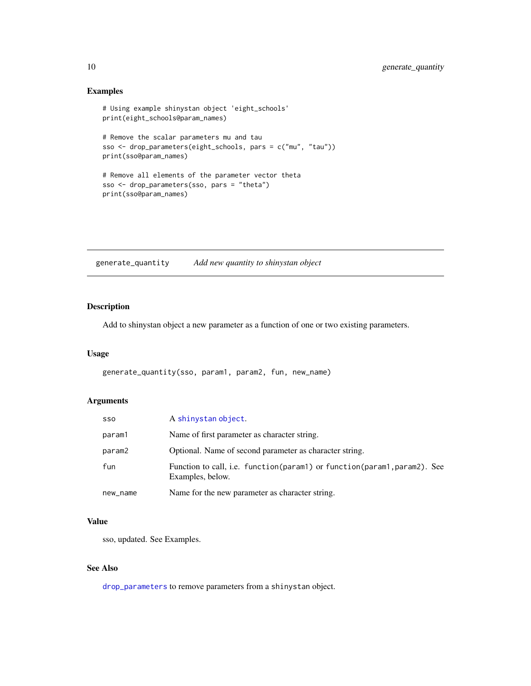# Examples

```
# Using example shinystan object 'eight_schools'
print(eight_schools@param_names)
# Remove the scalar parameters mu and tau
sso <- drop_parameters(eight_schools, pars = c("mu", "tau"))
print(sso@param_names)
# Remove all elements of the parameter vector theta
sso <- drop_parameters(sso, pars = "theta")
print(sso@param_names)
```
<span id="page-9-1"></span>generate\_quantity *Add new quantity to shinystan object*

# Description

Add to shinystan object a new parameter as a function of one or two existing parameters.

### Usage

generate\_quantity(sso, param1, param2, fun, new\_name)

# Arguments

| <b>SSO</b> | A shinystan object.                                                                          |
|------------|----------------------------------------------------------------------------------------------|
| param1     | Name of first parameter as character string.                                                 |
| param2     | Optional. Name of second parameter as character string.                                      |
| fun        | Function to call, i.e. function(param1) or function(param1, param2). See<br>Examples, below. |
| new_name   | Name for the new parameter as character string.                                              |

#### Value

sso, updated. See Examples.

# See Also

[drop\\_parameters](#page-8-1) to remove parameters from a shinystan object.

<span id="page-9-0"></span>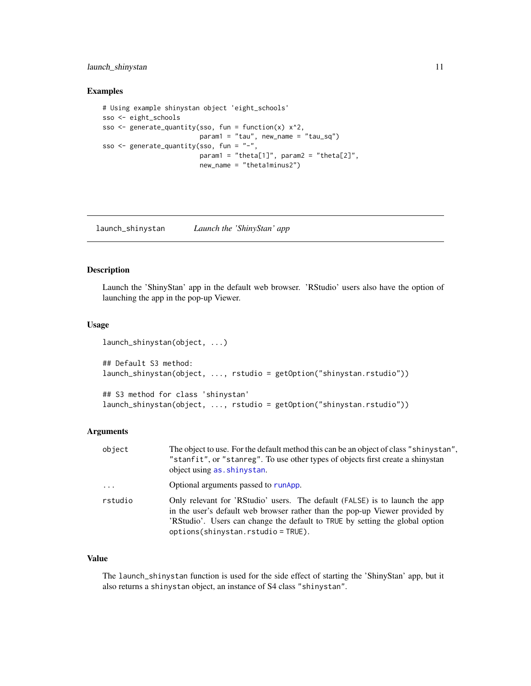# <span id="page-10-0"></span>launch\_shinystan 11

#### Examples

```
# Using example shinystan object 'eight_schools'
sso <- eight_schools
sso \leq generate_quantity(sso, fun = function(x) x^2,
                         param1 = "tau", new_name = "tau_sq")
sso <- generate_quantity(sso, fun = "-",
                         param1 = "theta[1]", param2 = "theta[2]",
                         new_name = "theta1minus2")
```
<span id="page-10-1"></span>launch\_shinystan *Launch the 'ShinyStan' app*

### Description

Launch the 'ShinyStan' app in the default web browser. 'RStudio' users also have the option of launching the app in the pop-up Viewer.

#### Usage

```
launch_shinystan(object, ...)
## Default S3 method:
launch_shinystan(object, ..., rstudio = getOption("shinystan.rstudio"))
## S3 method for class 'shinystan'
launch_shinystan(object, ..., rstudio = getOption("shinystan.rstudio"))
```
#### Arguments

| object  | The object to use. For the default method this can be an object of class "shinystan",<br>"stanfit", or "stanreg". To use other types of objects first create a shinystan<br>object using as. shinystan.                                                                        |
|---------|--------------------------------------------------------------------------------------------------------------------------------------------------------------------------------------------------------------------------------------------------------------------------------|
| $\cdot$ | Optional arguments passed to runApp.                                                                                                                                                                                                                                           |
| rstudio | Only relevant for 'RStudio' users. The default (FALSE) is to launch the app<br>in the user's default web browser rather than the pop-up Viewer provided by<br>'RStudio'. Users can change the default to TRUE by setting the global option<br>options(shinystan.rstudio=TRUE). |

## Value

The launch\_shinystan function is used for the side effect of starting the 'ShinyStan' app, but it also returns a shinystan object, an instance of S4 class "shinystan".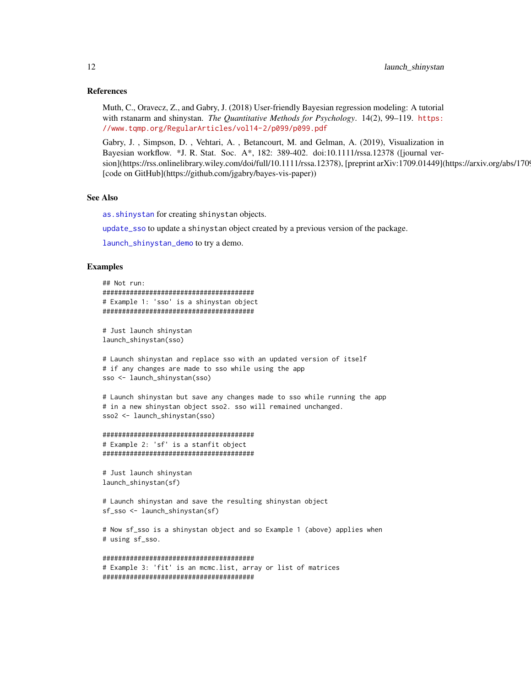#### <span id="page-11-0"></span>References

Muth, C., Oravecz, Z., and Gabry, J. (2018) User-friendly Bayesian regression modeling: A tutorial with rstanarm and shinystan. *The Quantitative Methods for Psychology*. 14(2), 99–119. [https:](https://www.tqmp.org/RegularArticles/vol14-2/p099/p099.pdf) [//www.tqmp.org/RegularArticles/vol14-2/p099/p099.pdf](https://www.tqmp.org/RegularArticles/vol14-2/p099/p099.pdf)

Gabry, J. , Simpson, D. , Vehtari, A. , Betancourt, M. and Gelman, A. (2019), Visualization in Bayesian workflow. \*J. R. Stat. Soc. A\*, 182: 389-402. doi:10.1111/rssa.12378 ([journal version](https://rss.onlinelibrary.wiley.com/doi/full/10.1111/rssa.12378), [preprint arXiv:1709.01449](https://arxiv.org/abs/1709.01449] [code on GitHub](https://github.com/jgabry/bayes-vis-paper))

### See Also

[as.shinystan](#page-3-1) for creating shinystan objects.

[update\\_sso](#page-17-1) to update a shinystan object created by a previous version of the package.

[launch\\_shinystan\\_demo](#page-12-1) to try a demo.

#### Examples

```
## Not run:
#######################################
# Example 1: 'sso' is a shinystan object
#######################################
# Just launch shinystan
launch_shinystan(sso)
# Launch shinystan and replace sso with an updated version of itself
# if any changes are made to sso while using the app
sso <- launch_shinystan(sso)
# Launch shinystan but save any changes made to sso while running the app
# in a new shinystan object sso2. sso will remained unchanged.
sso2 <- launch_shinystan(sso)
#######################################
# Example 2: 'sf' is a stanfit object
#######################################
# Just launch shinystan
launch_shinystan(sf)
# Launch shinystan and save the resulting shinystan object
sf_sso <- launch_shinystan(sf)
# Now sf_sso is a shinystan object and so Example 1 (above) applies when
# using sf_sso.
#######################################
# Example 3: 'fit' is an mcmc.list, array or list of matrices
```

```
#######################################
```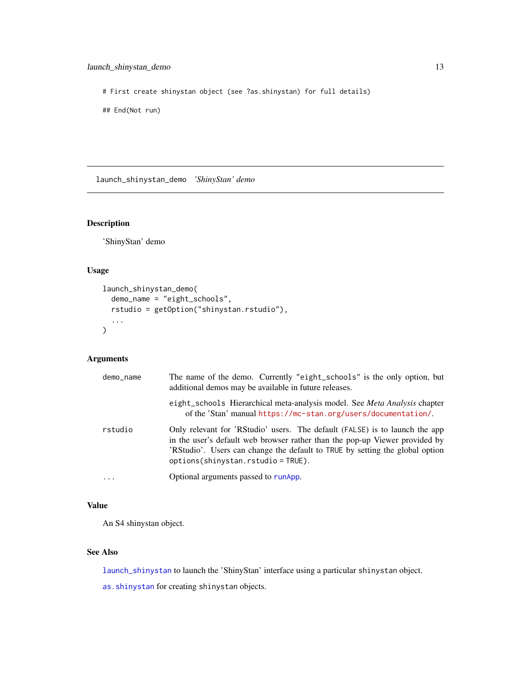<span id="page-12-0"></span># First create shinystan object (see ?as.shinystan) for full details)

## End(Not run)

<span id="page-12-1"></span>launch\_shinystan\_demo *'ShinyStan' demo*

# <span id="page-12-2"></span>Description

'ShinyStan' demo

# Usage

```
launch_shinystan_demo(
 demo_name = "eight_schools",
 rstudio = getOption("shinystan.rstudio"),
  ...
)
```
# Arguments

| demo_name | The name of the demo. Currently "eight_schools" is the only option, but<br>additional demos may be available in future releases.                                                                                                                                                   |
|-----------|------------------------------------------------------------------------------------------------------------------------------------------------------------------------------------------------------------------------------------------------------------------------------------|
|           | eight_schools Hierarchical meta-analysis model. See <i>Meta Analysis</i> chapter<br>of the 'Stan' manual https://mc-stan.org/users/documentation/.                                                                                                                                 |
| rstudio   | Only relevant for 'RStudio' users. The default (FALSE) is to launch the app<br>in the user's default web browser rather than the pop-up Viewer provided by<br>'RStudio'. Users can change the default to TRUE by setting the global option<br>$options(shinystan.rstudio = TRUE).$ |
| $\cdots$  | Optional arguments passed to runApp.                                                                                                                                                                                                                                               |

# Value

An S4 shinystan object.

# See Also

[launch\\_shinystan](#page-10-1) to launch the 'ShinyStan' interface using a particular shinystan object.

[as.shinystan](#page-3-1) for creating shinystan objects.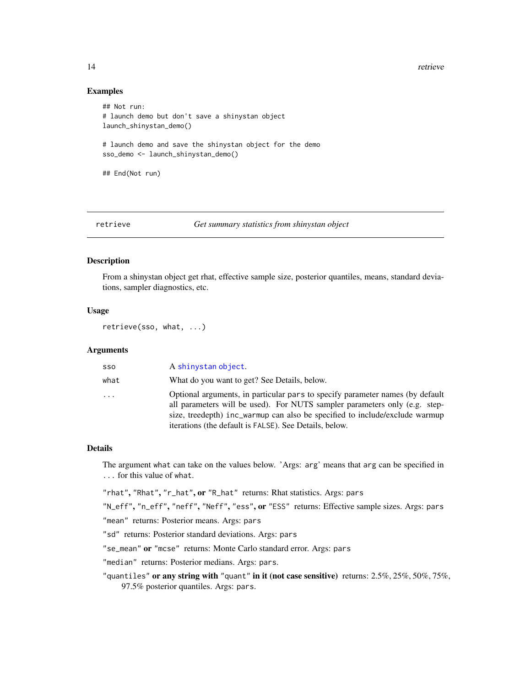#### <span id="page-13-0"></span>14 retrieve

#### Examples

```
## Not run:
# launch demo but don't save a shinystan object
launch_shinystan_demo()
# launch demo and save the shinystan object for the demo
sso_demo <- launch_shinystan_demo()
## End(Not run)
```
#### retrieve *Get summary statistics from shinystan object*

#### Description

From a shinystan object get rhat, effective sample size, posterior quantiles, means, standard deviations, sampler diagnostics, etc.

#### Usage

retrieve(sso, what, ...)

#### Arguments

| <b>SSO</b> | A shinystan object.                                                                                                                                                                                                                                                                                  |
|------------|------------------------------------------------------------------------------------------------------------------------------------------------------------------------------------------------------------------------------------------------------------------------------------------------------|
| what       | What do you want to get? See Details, below.                                                                                                                                                                                                                                                         |
| $\cdot$    | Optional arguments, in particular pars to specify parameter names (by default<br>all parameters will be used). For NUTS sampler parameters only (e.g. step-<br>size, treedepth) inc_warmup can also be specified to include/exclude warmup<br>iterations (the default is FALSE). See Details, below. |

### Details

The argument what can take on the values below. 'Args: arg' means that arg can be specified in ... for this value of what.

"rhat", "Rhat", "r\_hat", or "R\_hat" returns: Rhat statistics. Args: pars

"N\_eff", "n\_eff", "neff", "Neff", "ess", or "ESS" returns: Effective sample sizes. Args: pars

"mean" returns: Posterior means. Args: pars

"sd" returns: Posterior standard deviations. Args: pars

"se\_mean" or "mcse" returns: Monte Carlo standard error. Args: pars

"median" returns: Posterior medians. Args: pars.

"quantiles" or any string with "quant" in it (not case sensitive) returns:  $2.5\%, 25\%, 50\%, 75\%$ , 97.5% posterior quantiles. Args: pars.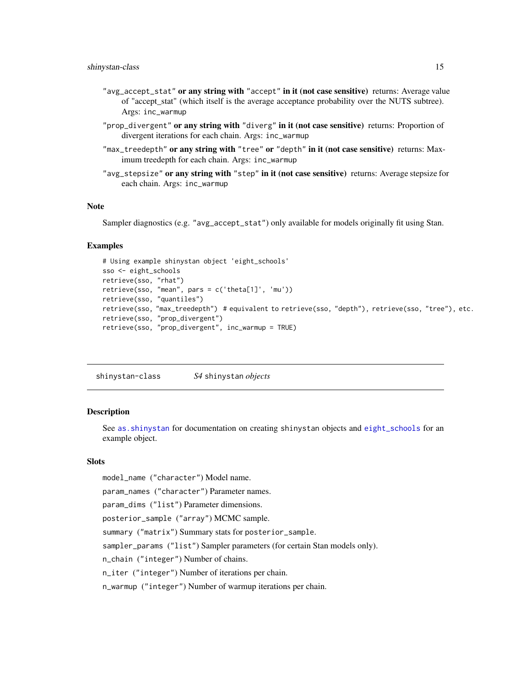- <span id="page-14-0"></span>"avg\_accept\_stat" or any string with "accept" in it (not case sensitive) returns: Average value of "accept stat" (which itself is the average acceptance probability over the NUTS subtree). Args: inc\_warmup
- "prop\_divergent" or any string with "diverg" in it (not case sensitive) returns: Proportion of divergent iterations for each chain. Args: inc\_warmup
- "max\_treedepth" or any string with "tree" or "depth" in it (not case sensitive) returns: Maximum treedepth for each chain. Args: inc\_warmup
- "avg\_stepsize" or any string with "step" in it (not case sensitive) returns: Average stepsize for each chain. Args: inc\_warmup

#### **Note**

Sampler diagnostics (e.g. "avg\_accept\_stat") only available for models originally fit using Stan.

#### Examples

```
# Using example shinystan object 'eight_schools'
sso <- eight_schools
retrieve(sso, "rhat")
retrieve(sso, "mean", pars = c('theta[1]', 'mu'))
retrieve(sso, "quantiles")
retrieve(sso, "max_treedepth") # equivalent to retrieve(sso, "depth"), retrieve(sso, "tree"), etc.
retrieve(sso, "prop_divergent")
retrieve(sso, "prop_divergent", inc_warmup = TRUE)
```
shinystan-class *S4* shinystan *objects*

#### **Description**

See as. shinystan for documentation on creating shinystan objects and [eight\\_schools](#page-12-2) for an example object.

#### Slots

model\_name ("character") Model name.

param\_names ("character") Parameter names.

param\_dims ("list") Parameter dimensions.

posterior\_sample ("array") MCMC sample.

summary ("matrix") Summary stats for posterior\_sample.

sampler\_params ("list") Sampler parameters (for certain Stan models only).

n\_chain ("integer") Number of chains.

n\_iter ("integer") Number of iterations per chain.

n\_warmup ("integer") Number of warmup iterations per chain.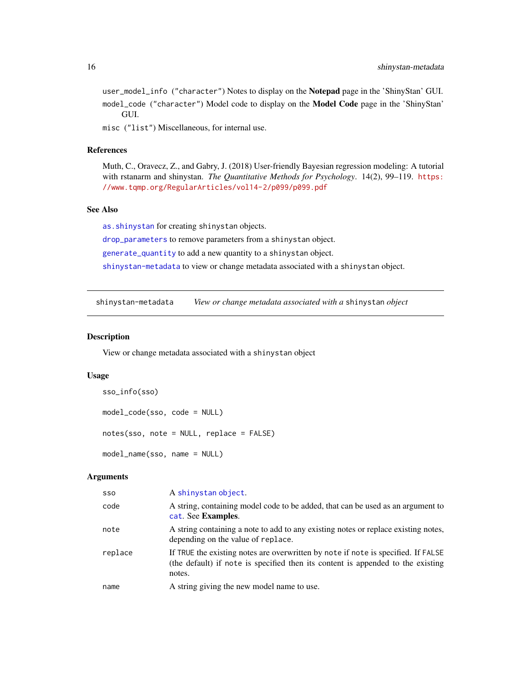user\_model\_info ("character") Notes to display on the **Notepad** page in the 'ShinyStan' GUI. model\_code ("character") Model code to display on the Model Code page in the 'ShinyStan' GUI.

misc ("list") Miscellaneous, for internal use.

### References

Muth, C., Oravecz, Z., and Gabry, J. (2018) User-friendly Bayesian regression modeling: A tutorial with rstanarm and shinystan. *The Quantitative Methods for Psychology*. 14(2), 99–119. [https:](https://www.tqmp.org/RegularArticles/vol14-2/p099/p099.pdf) [//www.tqmp.org/RegularArticles/vol14-2/p099/p099.pdf](https://www.tqmp.org/RegularArticles/vol14-2/p099/p099.pdf)

# See Also

[as.shinystan](#page-3-1) for creating shinystan objects.

[drop\\_parameters](#page-8-1) to remove parameters from a shinystan object.

[generate\\_quantity](#page-9-1) to add a new quantity to a shinystan object.

[shinystan-metadata](#page-15-2) to view or change metadata associated with a shinystan object.

<span id="page-15-2"></span>shinystan-metadata *View or change metadata associated with a* shinystan *object*

#### <span id="page-15-1"></span>Description

View or change metadata associated with a shinystan object

#### Usage

```
sso_info(sso)
```

```
model_code(sso, code = NULL)
```
notes(sso, note = NULL, replace = FALSE)

model\_name(sso, name = NULL)

#### Arguments

| <b>SSO</b> | A shinystan object.                                                                                                                                                            |
|------------|--------------------------------------------------------------------------------------------------------------------------------------------------------------------------------|
| code       | A string, containing model code to be added, that can be used as an argument to<br>cat. See Examples.                                                                          |
| note       | A string containing a note to add to any existing notes or replace existing notes,<br>depending on the value of replace.                                                       |
| replace    | If TRUE the existing notes are overwritten by note if note is specified. If FALSE<br>(the default) if note is specified then its content is appended to the existing<br>notes. |
| name       | A string giving the new model name to use.                                                                                                                                     |

<span id="page-15-0"></span>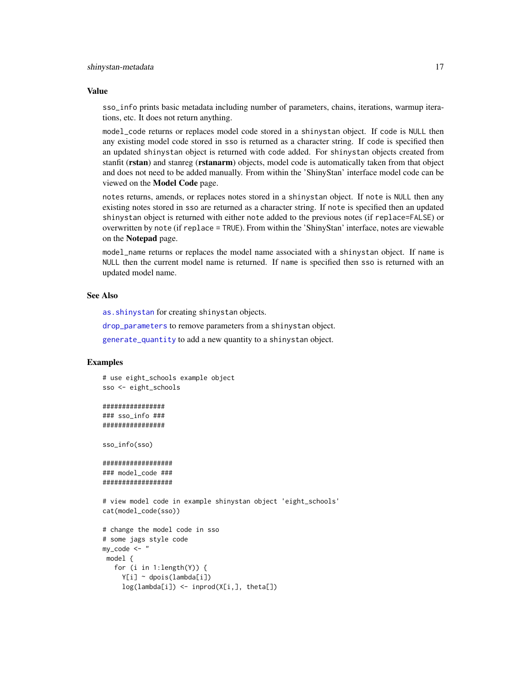#### <span id="page-16-0"></span>Value

sso\_info prints basic metadata including number of parameters, chains, iterations, warmup iterations, etc. It does not return anything.

model\_code returns or replaces model code stored in a shinystan object. If code is NULL then any existing model code stored in sso is returned as a character string. If code is specified then an updated shinystan object is returned with code added. For shinystan objects created from stanfit (rstan) and stanreg (rstanarm) objects, model code is automatically taken from that object and does not need to be added manually. From within the 'ShinyStan' interface model code can be viewed on the Model Code page.

notes returns, amends, or replaces notes stored in a shinystan object. If note is NULL then any existing notes stored in sso are returned as a character string. If note is specified then an updated shinystan object is returned with either note added to the previous notes (if replace=FALSE) or overwritten by note (if replace = TRUE). From within the 'ShinyStan' interface, notes are viewable on the Notepad page.

model\_name returns or replaces the model name associated with a shinystan object. If name is NULL then the current model name is returned. If name is specified then sso is returned with an updated model name.

#### See Also

[as.shinystan](#page-3-1) for creating shinystan objects.

[drop\\_parameters](#page-8-1) to remove parameters from a shinystan object.

[generate\\_quantity](#page-9-1) to add a new quantity to a shinystan object.

### Examples

```
# use eight_schools example object
sso <- eight_schools
```

```
################
### sso_info ###
################
```
sso\_info(sso)

```
##################
### model_code ###
##################
```

```
# view model code in example shinystan object 'eight_schools'
cat(model_code(sso))
```

```
# change the model code in sso
# some jags style code
my_code <- "
model {
   for (i in 1:length(Y)) {
    Y[i] ~ dpois(lambda[i])
     log(lambda[i]) <- inprod(X[i,], theta[])
```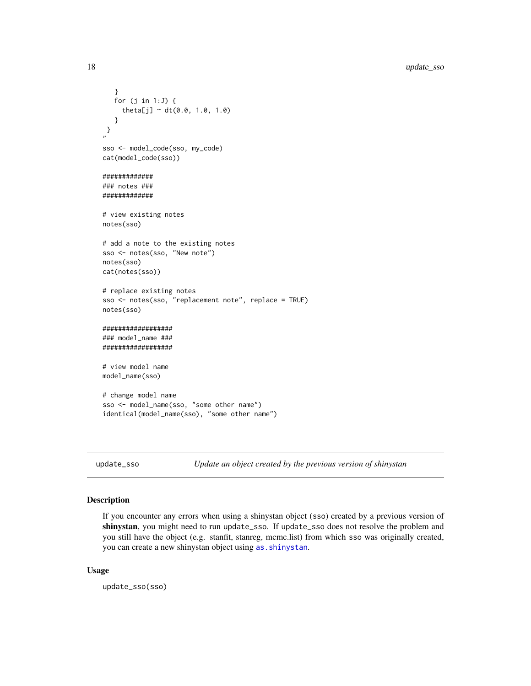```
}
  for (j in 1:J) {
     theta[j] \sim dt(0.0, 1.0, 1.0)
  }
}
"
sso <- model_code(sso, my_code)
cat(model_code(sso))
#############
### notes ###
#############
# view existing notes
notes(sso)
# add a note to the existing notes
sso <- notes(sso, "New note")
notes(sso)
cat(notes(sso))
# replace existing notes
sso <- notes(sso, "replacement note", replace = TRUE)
notes(sso)
##################
### model_name ###
##################
# view model name
model_name(sso)
# change model name
sso <- model_name(sso, "some other name")
identical(model_name(sso), "some other name")
```
<span id="page-17-1"></span>update\_sso *Update an object created by the previous version of shinystan*

# Description

If you encounter any errors when using a shinystan object (sso) created by a previous version of shinystan, you might need to run update\_sso. If update\_sso does not resolve the problem and you still have the object (e.g. stanfit, stanreg, mcmc.list) from which sso was originally created, you can create a new shinystan object using [as.shinystan](#page-3-1).

#### Usage

update\_sso(sso)

<span id="page-17-0"></span>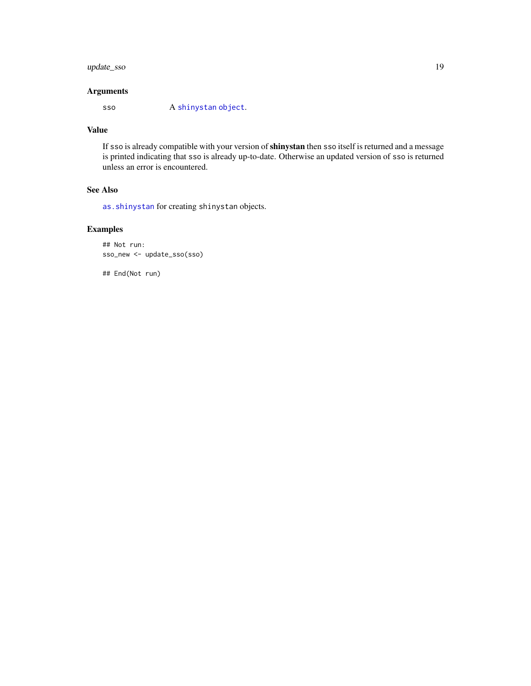# <span id="page-18-0"></span>update\_sso 19

### Arguments

sso A [shinystan object](#page-3-1).

### Value

If sso is already compatible with your version of shinystan then sso itself is returned and a message is printed indicating that sso is already up-to-date. Otherwise an updated version of sso is returned unless an error is encountered.

# See Also

[as.shinystan](#page-3-1) for creating shinystan objects.

# Examples

```
## Not run:
sso_new <- update_sso(sso)
```
## End(Not run)